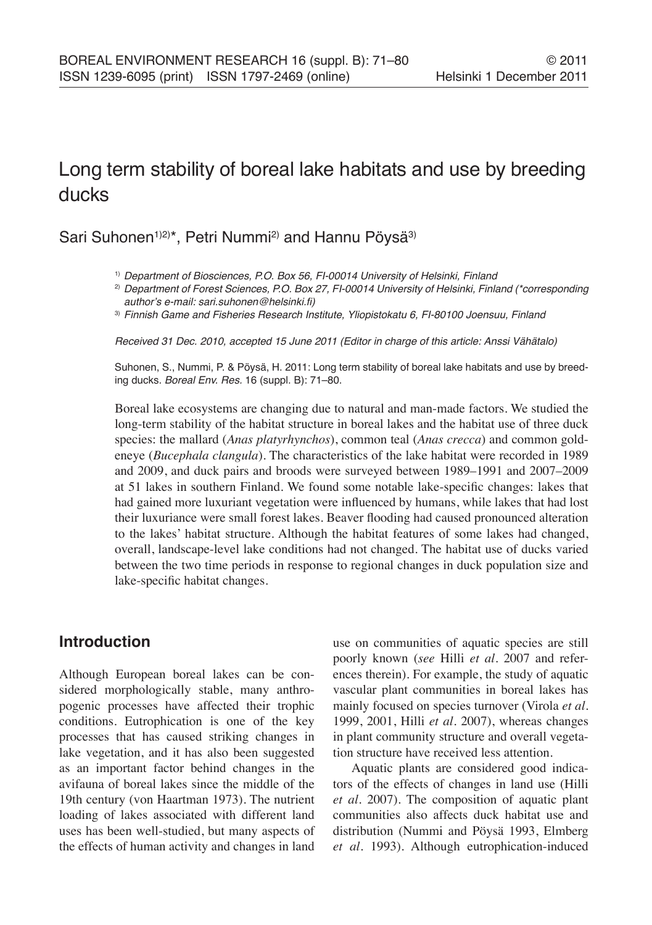# Long term stability of boreal lake habitats and use by breeding ducks

Sari Suhonen<sup>1)2)\*</sup>, Petri Nummi<sup>2)</sup> and Hannu Pöysä<sup>3)</sup>

<sup>1)</sup> Department of Biosciences, P.O. Box 56, FI-00014 University of Helsinki, Finland

- <sup>2)</sup> Department of Forest Sciences, P.O. Box 27, FI-00014 University of Helsinki, Finland (\*corresponding author's e-mail: sari.suhonen@helsinki.fi)
- <sup>3)</sup> Finnish Game and Fisheries Research Institute, Yliopistokatu 6, FI-80100 Joensuu, Finland

Received 31 Dec. 2010, accepted 15 June 2011 (Editor in charge of this article: Anssi Vähätalo)

Suhonen, S., Nummi, P. & Pöysä, H. 2011: Long term stability of boreal lake habitats and use by breeding ducks. Boreal Env. Res. 16 (suppl. B): 71–80.

Boreal lake ecosystems are changing due to natural and man-made factors. We studied the long-term stability of the habitat structure in boreal lakes and the habitat use of three duck species: the mallard (*Anas platyrhynchos*), common teal (*Anas crecca*) and common goldeneye (*Bucephala clangula*). The characteristics of the lake habitat were recorded in 1989 and 2009, and duck pairs and broods were surveyed between 1989–1991 and 2007–2009 at 51 lakes in southern Finland. We found some notable lake-specific changes: lakes that had gained more luxuriant vegetation were influenced by humans, while lakes that had lost their luxuriance were small forest lakes. Beaver flooding had caused pronounced alteration to the lakes' habitat structure. Although the habitat features of some lakes had changed, overall, landscape-level lake conditions had not changed. The habitat use of ducks varied between the two time periods in response to regional changes in duck population size and lake-specific habitat changes.

# **Introduction**

Although European boreal lakes can be considered morphologically stable, many anthropogenic processes have affected their trophic conditions. Eutrophication is one of the key processes that has caused striking changes in lake vegetation, and it has also been suggested as an important factor behind changes in the avifauna of boreal lakes since the middle of the 19th century (von Haartman 1973). The nutrient loading of lakes associated with different land uses has been well-studied, but many aspects of the effects of human activity and changes in land use on communities of aquatic species are still poorly known (*see* Hilli *et al*. 2007 and references therein). For example, the study of aquatic vascular plant communities in boreal lakes has mainly focused on species turnover (Virola *et al*. 1999, 2001, Hilli *et al*. 2007), whereas changes in plant community structure and overall vegetation structure have received less attention.

Aquatic plants are considered good indicators of the effects of changes in land use (Hilli *et al*. 2007). The composition of aquatic plant communities also affects duck habitat use and distribution (Nummi and Pöysä 1993, Elmberg *et al*. 1993). Although eutrophication-induced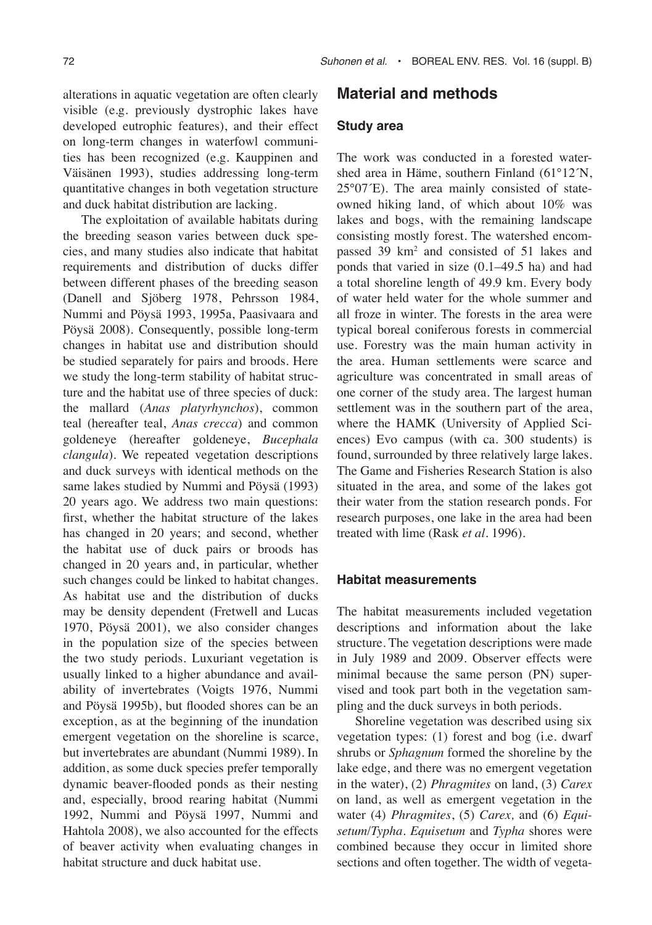alterations in aquatic vegetation are often clearly visible (e.g. previously dystrophic lakes have developed eutrophic features), and their effect on long-term changes in waterfowl communities has been recognized (e.g. Kauppinen and Väisänen 1993), studies addressing long-term quantitative changes in both vegetation structure and duck habitat distribution are lacking.

The exploitation of available habitats during the breeding season varies between duck species, and many studies also indicate that habitat requirements and distribution of ducks differ between different phases of the breeding season (Danell and Sjöberg 1978, Pehrsson 1984, Nummi and Pöysä 1993, 1995a, Paasivaara and Pöysä 2008). Consequently, possible long-term changes in habitat use and distribution should be studied separately for pairs and broods. Here we study the long-term stability of habitat structure and the habitat use of three species of duck: the mallard (*Anas platyrhynchos*), common teal (hereafter teal, *Anas crecca*) and common goldeneye (hereafter goldeneye, *Bucephala clangula*). We repeated vegetation descriptions and duck surveys with identical methods on the same lakes studied by Nummi and Pöysä (1993) 20 years ago. We address two main questions: first, whether the habitat structure of the lakes has changed in 20 years; and second, whether the habitat use of duck pairs or broods has changed in 20 years and, in particular, whether such changes could be linked to habitat changes. As habitat use and the distribution of ducks may be density dependent (Fretwell and Lucas 1970, Pöysä 2001), we also consider changes in the population size of the species between the two study periods. Luxuriant vegetation is usually linked to a higher abundance and availability of invertebrates (Voigts 1976, Nummi and Pöysä 1995b), but flooded shores can be an exception, as at the beginning of the inundation emergent vegetation on the shoreline is scarce, but invertebrates are abundant (Nummi 1989). In addition, as some duck species prefer temporally dynamic beaver-flooded ponds as their nesting and, especially, brood rearing habitat (Nummi 1992, Nummi and Pöysä 1997, Nummi and Hahtola 2008), we also accounted for the effects of beaver activity when evaluating changes in habitat structure and duck habitat use.

# **Material and methods**

#### **Study area**

The work was conducted in a forested watershed area in Häme, southern Finland (61°12´N, 25°07´E). The area mainly consisted of stateowned hiking land, of which about 10% was lakes and bogs, with the remaining landscape consisting mostly forest. The watershed encompassed 39 km2 and consisted of 51 lakes and ponds that varied in size (0.1–49.5 ha) and had a total shoreline length of 49.9 km. Every body of water held water for the whole summer and all froze in winter. The forests in the area were typical boreal coniferous forests in commercial use. Forestry was the main human activity in the area. Human settlements were scarce and agriculture was concentrated in small areas of one corner of the study area. The largest human settlement was in the southern part of the area, where the HAMK (University of Applied Sciences) Evo campus (with ca. 300 students) is found, surrounded by three relatively large lakes. The Game and Fisheries Research Station is also situated in the area, and some of the lakes got their water from the station research ponds. For research purposes, one lake in the area had been treated with lime (Rask *et al*. 1996).

#### **Habitat measurements**

The habitat measurements included vegetation descriptions and information about the lake structure. The vegetation descriptions were made in July 1989 and 2009. Observer effects were minimal because the same person (PN) supervised and took part both in the vegetation sampling and the duck surveys in both periods.

Shoreline vegetation was described using six vegetation types: (1) forest and bog (i.e. dwarf shrubs or *Sphagnum* formed the shoreline by the lake edge, and there was no emergent vegetation in the water), (2) *Phragmites* on land, (3) *Carex* on land, as well as emergent vegetation in the water (4) *Phragmites*, (5) *Carex,* and (6) *Equisetum*/*Typha*. *Equisetum* and *Typha* shores were combined because they occur in limited shore sections and often together. The width of vegeta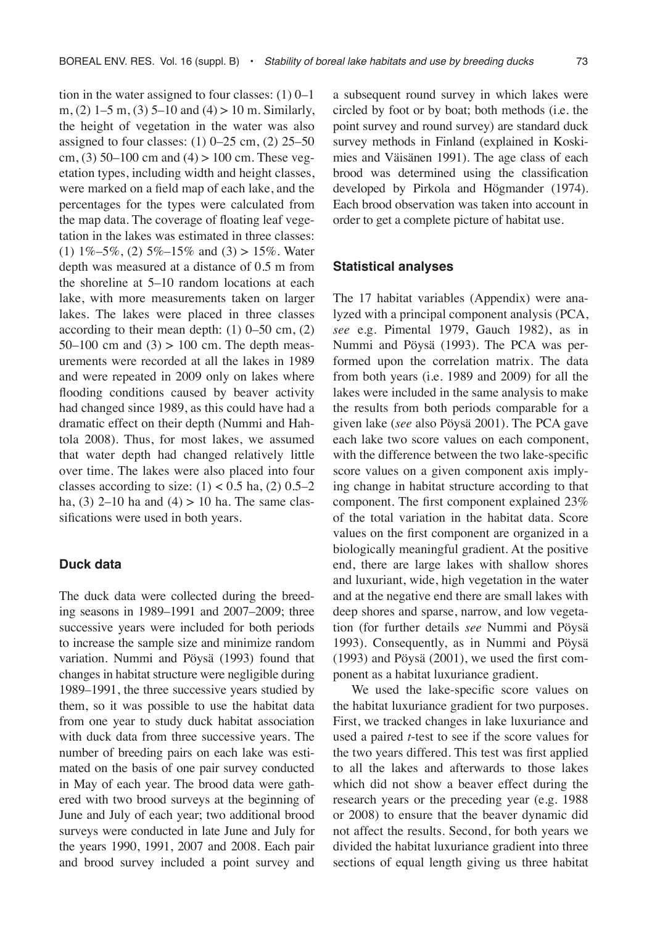tion in the water assigned to four classes: (1) 0–1 m, (2) 1–5 m, (3) 5–10 and (4) > 10 m. Similarly, the height of vegetation in the water was also assigned to four classes:  $(1)$  0–25 cm,  $(2)$  25–50 cm, (3) 50–100 cm and (4) > 100 cm. These vegetation types, including width and height classes, were marked on a field map of each lake, and the percentages for the types were calculated from the map data. The coverage of floating leaf vegetation in the lakes was estimated in three classes: (1)  $1\% - 5\%$ , (2)  $5\% - 15\%$  and (3) > 15%. Water depth was measured at a distance of 0.5 m from the shoreline at 5–10 random locations at each lake, with more measurements taken on larger lakes. The lakes were placed in three classes according to their mean depth:  $(1)$  0–50 cm,  $(2)$ 50–100 cm and  $(3) > 100$  cm. The depth measurements were recorded at all the lakes in 1989 and were repeated in 2009 only on lakes where flooding conditions caused by beaver activity had changed since 1989, as this could have had a dramatic effect on their depth (Nummi and Hahtola 2008). Thus, for most lakes, we assumed that water depth had changed relatively little over time. The lakes were also placed into four classes according to size:  $(1) < 0.5$  ha,  $(2) 0.5-2$ ha, (3) 2–10 ha and (4) > 10 ha. The same classifications were used in both years.

# **Duck data**

The duck data were collected during the breeding seasons in 1989–1991 and 2007–2009; three successive years were included for both periods to increase the sample size and minimize random variation. Nummi and Pöysä (1993) found that changes in habitat structure were negligible during 1989–1991, the three successive years studied by them, so it was possible to use the habitat data from one year to study duck habitat association with duck data from three successive years. The number of breeding pairs on each lake was estimated on the basis of one pair survey conducted in May of each year. The brood data were gathered with two brood surveys at the beginning of June and July of each year; two additional brood surveys were conducted in late June and July for the years 1990, 1991, 2007 and 2008. Each pair and brood survey included a point survey and

a subsequent round survey in which lakes were circled by foot or by boat; both methods (i.e. the point survey and round survey) are standard duck survey methods in Finland (explained in Koskimies and Väisänen 1991). The age class of each brood was determined using the classification developed by Pirkola and Högmander (1974). Each brood observation was taken into account in order to get a complete picture of habitat use.

# **Statistical analyses**

The 17 habitat variables (Appendix) were analyzed with a principal component analysis (PCA, *see* e.g. Pimental 1979, Gauch 1982), as in Nummi and Pöysä (1993). The PCA was performed upon the correlation matrix. The data from both years (i.e. 1989 and 2009) for all the lakes were included in the same analysis to make the results from both periods comparable for a given lake (*see* also Pöysä 2001). The PCA gave each lake two score values on each component, with the difference between the two lake-specific score values on a given component axis implying change in habitat structure according to that component. The first component explained 23% of the total variation in the habitat data. Score values on the first component are organized in a biologically meaningful gradient. At the positive end, there are large lakes with shallow shores and luxuriant, wide, high vegetation in the water and at the negative end there are small lakes with deep shores and sparse, narrow, and low vegetation (for further details *see* Nummi and Pöysä 1993). Consequently, as in Nummi and Pöysä (1993) and Pöysä (2001), we used the first component as a habitat luxuriance gradient.

We used the lake-specific score values on the habitat luxuriance gradient for two purposes. First, we tracked changes in lake luxuriance and used a paired *t*-test to see if the score values for the two years differed. This test was first applied to all the lakes and afterwards to those lakes which did not show a beaver effect during the research years or the preceding year (e.g. 1988 or 2008) to ensure that the beaver dynamic did not affect the results. Second, for both years we divided the habitat luxuriance gradient into three sections of equal length giving us three habitat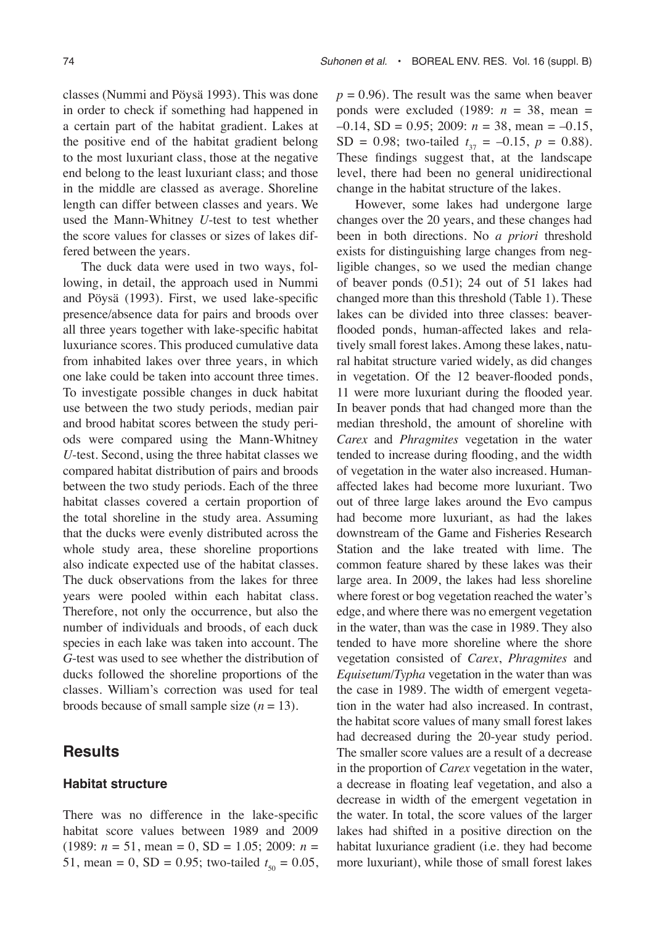classes (Nummi and Pöysä 1993). This was done in order to check if something had happened in a certain part of the habitat gradient. Lakes at the positive end of the habitat gradient belong to the most luxuriant class, those at the negative end belong to the least luxuriant class; and those in the middle are classed as average. Shoreline length can differ between classes and years. We used the Mann-Whitney *U*-test to test whether the score values for classes or sizes of lakes differed between the years.

The duck data were used in two ways, following, in detail, the approach used in Nummi and Pöysä (1993). First, we used lake-specific presence/absence data for pairs and broods over all three years together with lake-specific habitat luxuriance scores. This produced cumulative data from inhabited lakes over three years, in which one lake could be taken into account three times. To investigate possible changes in duck habitat use between the two study periods, median pair and brood habitat scores between the study periods were compared using the Mann-Whitney *U*-test. Second, using the three habitat classes we compared habitat distribution of pairs and broods between the two study periods. Each of the three habitat classes covered a certain proportion of the total shoreline in the study area. Assuming that the ducks were evenly distributed across the whole study area, these shoreline proportions also indicate expected use of the habitat classes. The duck observations from the lakes for three years were pooled within each habitat class. Therefore, not only the occurrence, but also the number of individuals and broods, of each duck species in each lake was taken into account. The *G*-test was used to see whether the distribution of ducks followed the shoreline proportions of the classes. William's correction was used for teal broods because of small sample size  $(n = 13)$ .

# **Results**

#### **Habitat structure**

There was no difference in the lake-specific habitat score values between 1989 and 2009  $(1989: n = 51, \text{ mean} = 0, SD = 1.05; 2009: n = 1.05;$ 51, mean = 0, SD = 0.95; two-tailed  $t_{50} = 0.05$ ,  $p = 0.96$ . The result was the same when beaver ponds were excluded (1989:  $n = 38$ , mean =  $-0.14$ , SD = 0.95; 2009:  $n = 38$ , mean =  $-0.15$ ,  $SD = 0.98$ ; two-tailed  $t_{37} = -0.15$ ,  $p = 0.88$ ). These findings suggest that, at the landscape level, there had been no general unidirectional change in the habitat structure of the lakes.

However, some lakes had undergone large changes over the 20 years, and these changes had been in both directions. No *a priori* threshold exists for distinguishing large changes from negligible changes, so we used the median change of beaver ponds (0.51); 24 out of 51 lakes had changed more than this threshold (Table 1). These lakes can be divided into three classes: beaverflooded ponds, human-affected lakes and relatively small forest lakes. Among these lakes, natural habitat structure varied widely, as did changes in vegetation. Of the 12 beaver-flooded ponds, 11 were more luxuriant during the flooded year. In beaver ponds that had changed more than the median threshold, the amount of shoreline with *Carex* and *Phragmites* vegetation in the water tended to increase during flooding, and the width of vegetation in the water also increased. Humanaffected lakes had become more luxuriant. Two out of three large lakes around the Evo campus had become more luxuriant, as had the lakes downstream of the Game and Fisheries Research Station and the lake treated with lime. The common feature shared by these lakes was their large area. In 2009, the lakes had less shoreline where forest or bog vegetation reached the water's edge, and where there was no emergent vegetation in the water, than was the case in 1989. They also tended to have more shoreline where the shore vegetation consisted of *Carex*, *Phragmites* and *Equisetum*/*Typha* vegetation in the water than was the case in 1989. The width of emergent vegetation in the water had also increased. In contrast, the habitat score values of many small forest lakes had decreased during the 20-year study period. The smaller score values are a result of a decrease in the proportion of *Carex* vegetation in the water, a decrease in floating leaf vegetation, and also a decrease in width of the emergent vegetation in the water. In total, the score values of the larger lakes had shifted in a positive direction on the habitat luxuriance gradient (i.e. they had become more luxuriant), while those of small forest lakes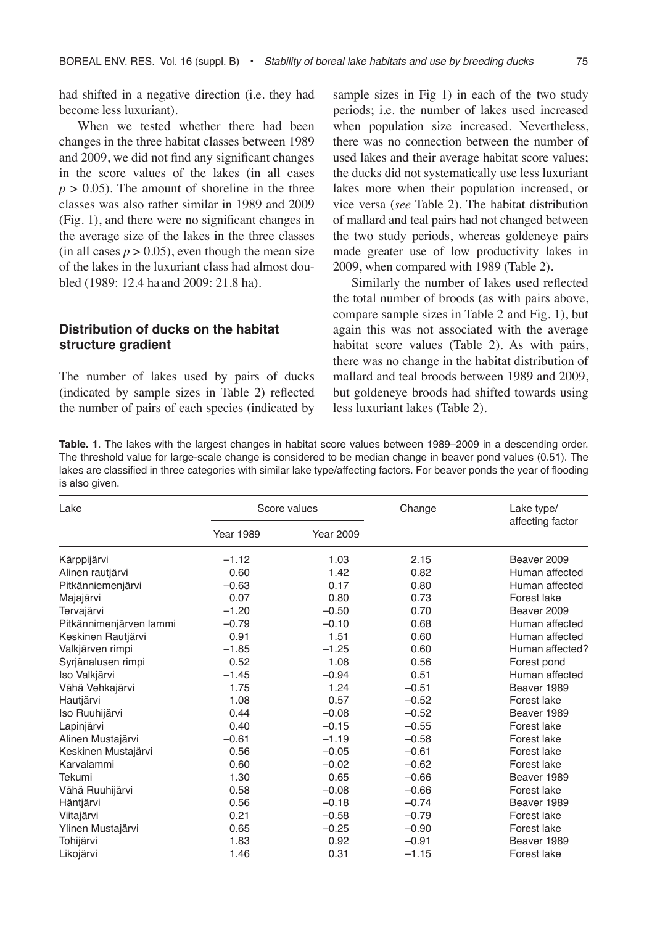had shifted in a negative direction (i.e. they had become less luxuriant).

When we tested whether there had been changes in the three habitat classes between 1989 and 2009, we did not find any significant changes in the score values of the lakes (in all cases  $p > 0.05$ . The amount of shoreline in the three classes was also rather similar in 1989 and 2009 (Fig. 1), and there were no significant changes in the average size of the lakes in the three classes (in all cases  $p > 0.05$ ), even though the mean size of the lakes in the luxuriant class had almost doubled (1989: 12.4 ha and 2009: 21.8 ha).

## **Distribution of ducks on the habitat structure gradient**

The number of lakes used by pairs of ducks (indicated by sample sizes in Table 2) reflected the number of pairs of each species (indicated by sample sizes in Fig 1) in each of the two study periods; i.e. the number of lakes used increased when population size increased. Nevertheless, there was no connection between the number of used lakes and their average habitat score values; the ducks did not systematically use less luxuriant lakes more when their population increased, or vice versa (*see* Table 2). The habitat distribution of mallard and teal pairs had not changed between the two study periods, whereas goldeneye pairs made greater use of low productivity lakes in 2009, when compared with 1989 (Table 2).

Similarly the number of lakes used reflected the total number of broods (as with pairs above, compare sample sizes in Table 2 and Fig. 1), but again this was not associated with the average habitat score values (Table 2). As with pairs, there was no change in the habitat distribution of mallard and teal broods between 1989 and 2009, but goldeneye broods had shifted towards using less luxuriant lakes (Table 2).

**Table. 1**. The lakes with the largest changes in habitat score values between 1989–2009 in a descending order. The threshold value for large-scale change is considered to be median change in beaver pond values (0.51). The lakes are classified in three categories with similar lake type/affecting factors. For beaver ponds the year of flooding is also given.

| Lake                    | Score values     |           | Change  | Lake type/       |  |
|-------------------------|------------------|-----------|---------|------------------|--|
|                         | <b>Year 1989</b> | Year 2009 |         | affecting factor |  |
| Kärppijärvi             | $-1.12$          | 1.03      | 2.15    | Beaver 2009      |  |
| Alinen rautjärvi        | 0.60             | 1.42      | 0.82    | Human affected   |  |
| Pitkänniemenjärvi       | $-0.63$          | 0.17      | 0.80    | Human affected   |  |
| Majajärvi               | 0.07             | 0.80      | 0.73    | Forest lake      |  |
| Tervajärvi              | $-1.20$          | $-0.50$   | 0.70    | Beaver 2009      |  |
| Pitkännimenjärven lammi | $-0.79$          | $-0.10$   | 0.68    | Human affected   |  |
| Keskinen Rautjärvi      | 0.91             | 1.51      | 0.60    | Human affected   |  |
| Valkjärven rimpi        | $-1.85$          | $-1.25$   | 0.60    | Human affected?  |  |
| Syrjänalusen rimpi      | 0.52             | 1.08      | 0.56    | Forest pond      |  |
| Iso Valkjärvi           | $-1.45$          | $-0.94$   | 0.51    | Human affected   |  |
| Vähä Vehkajärvi         | 1.75             | 1.24      | $-0.51$ | Beaver 1989      |  |
| Hautjärvi               | 1.08             | 0.57      | $-0.52$ | Forest lake      |  |
| Iso Ruuhijärvi          | 0.44             | $-0.08$   | $-0.52$ | Beaver 1989      |  |
| Lapinjärvi              | 0.40             | $-0.15$   | $-0.55$ | Forest lake      |  |
| Alinen Mustajärvi       | $-0.61$          | $-1.19$   | $-0.58$ | Forest lake      |  |
| Keskinen Mustajärvi     | 0.56             | $-0.05$   | $-0.61$ | Forest lake      |  |
| Karvalammi              | 0.60             | $-0.02$   | $-0.62$ | Forest lake      |  |
| Tekumi                  | 1.30             | 0.65      | $-0.66$ | Beaver 1989      |  |
| Vähä Ruuhijärvi         | 0.58             | $-0.08$   | $-0.66$ | Forest lake      |  |
| Häntjärvi               | 0.56             | $-0.18$   | $-0.74$ | Beaver 1989      |  |
| Viitajärvi              | 0.21             | $-0.58$   | $-0.79$ | Forest lake      |  |
| Ylinen Mustajärvi       | 0.65             | $-0.25$   | $-0.90$ | Forest lake      |  |
| Tohijärvi               | 1.83             | 0.92      | $-0.91$ | Beaver 1989      |  |
| Likojärvi               | 1.46             | 0.31      | $-1.15$ | Forest lake      |  |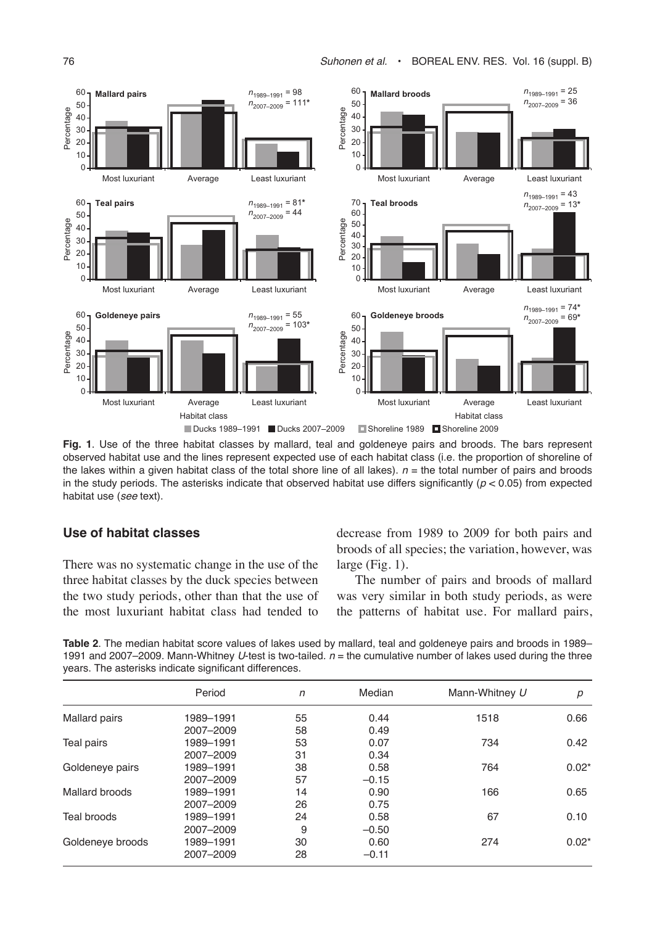

**Fig. 1**. Use of the three habitat classes by mallard, teal and goldeneye pairs and broods. The bars represent observed habitat use and the lines represent expected use of each habitat class (i.e. the proportion of shoreline of the lakes within a given habitat class of the total shore line of all lakes).  $n =$  the total number of pairs and broods in the study periods. The asterisks indicate that observed habitat use differs significantly ( $p < 0.05$ ) from expected habitat use (see text).

## **Use of habitat classes**

There was no systematic change in the use of the three habitat classes by the duck species between the two study periods, other than that the use of the most luxuriant habitat class had tended to

decrease from 1989 to 2009 for both pairs and broods of all species; the variation, however, was large (Fig. 1).

The number of pairs and broods of mallard was very similar in both study periods, as were the patterns of habitat use. For mallard pairs,

**Table 2**. The median habitat score values of lakes used by mallard, teal and goldeneye pairs and broods in 1989– 1991 and 2007–2009. Mann-Whitney U-test is two-tailed.  $n =$  the cumulative number of lakes used during the three years. The asterisks indicate significant differences.

|                      | Period    | $\mathsf{n}$ | Median  | Mann-Whitney U | р       |
|----------------------|-----------|--------------|---------|----------------|---------|
| <b>Mallard pairs</b> | 1989-1991 | 55           | 0.44    | 1518           | 0.66    |
|                      | 2007-2009 | 58           | 0.49    |                |         |
| Teal pairs           | 1989-1991 | 53           | 0.07    | 734            | 0.42    |
|                      | 2007-2009 | 31           | 0.34    |                |         |
| Goldeneye pairs      | 1989-1991 | 38           | 0.58    | 764            | $0.02*$ |
|                      | 2007-2009 | 57           | $-0.15$ |                |         |
| Mallard broods       | 1989-1991 | 14           | 0.90    | 166            | 0.65    |
|                      | 2007-2009 | 26           | 0.75    |                |         |
| Teal broods          | 1989-1991 | 24           | 0.58    | 67             | 0.10    |
|                      | 2007-2009 | 9            | $-0.50$ |                |         |
| Goldeneye broods     | 1989-1991 | 30           | 0.60    | 274            | $0.02*$ |
|                      | 2007-2009 | 28           | $-0.11$ |                |         |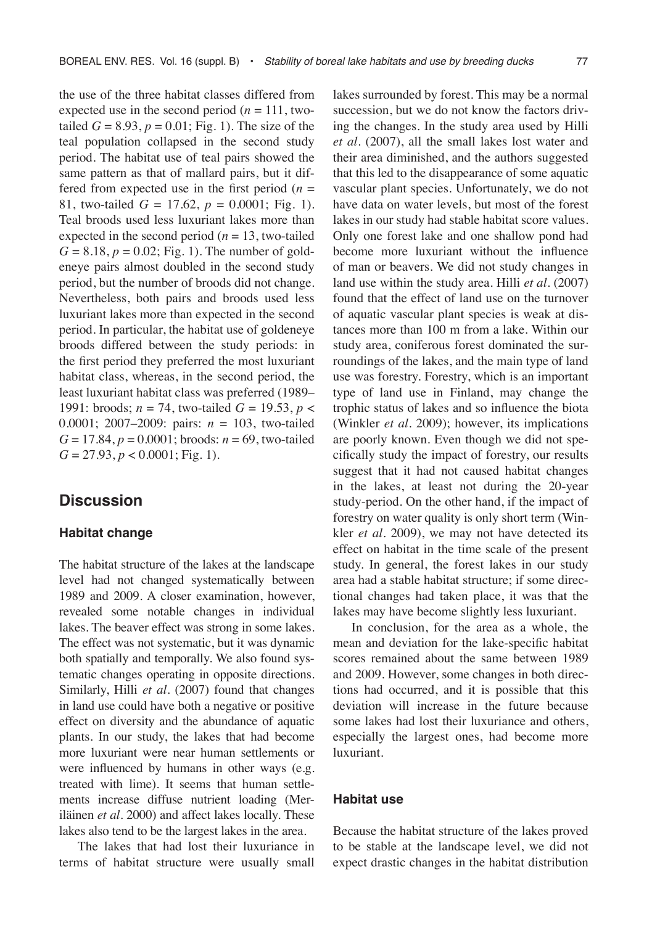the use of the three habitat classes differed from expected use in the second period  $(n = 111,$  twotailed  $G = 8.93$ ,  $p = 0.01$ ; Fig. 1). The size of the teal population collapsed in the second study period. The habitat use of teal pairs showed the same pattern as that of mallard pairs, but it differed from expected use in the first period (*n* = 81, two-tailed  $G = 17.62$ ,  $p = 0.0001$ ; Fig. 1). Teal broods used less luxuriant lakes more than expected in the second period ( $n = 13$ , two-tailed  $G = 8.18, p = 0.02$ ; Fig. 1). The number of goldeneye pairs almost doubled in the second study period, but the number of broods did not change. Nevertheless, both pairs and broods used less luxuriant lakes more than expected in the second period. In particular, the habitat use of goldeneye broods differed between the study periods: in the first period they preferred the most luxuriant habitat class, whereas, in the second period, the least luxuriant habitat class was preferred (1989– 1991: broods;  $n = 74$ , two-tailed  $G = 19.53$ ,  $p <$ 0.0001; 2007–2009: pairs: *n* = 103, two-tailed  $G = 17.84, p = 0.0001$ ; broods:  $n = 69$ , two-tailed *G* = 27.93, *p* < 0.0001; Fig. 1).

# **Discussion**

#### **Habitat change**

The habitat structure of the lakes at the landscape level had not changed systematically between 1989 and 2009. A closer examination, however, revealed some notable changes in individual lakes. The beaver effect was strong in some lakes. The effect was not systematic, but it was dynamic both spatially and temporally. We also found systematic changes operating in opposite directions. Similarly, Hilli *et al*. (2007) found that changes in land use could have both a negative or positive effect on diversity and the abundance of aquatic plants. In our study, the lakes that had become more luxuriant were near human settlements or were influenced by humans in other ways (e.g. treated with lime). It seems that human settlements increase diffuse nutrient loading (Meriläinen *et al*. 2000) and affect lakes locally. These lakes also tend to be the largest lakes in the area.

The lakes that had lost their luxuriance in terms of habitat structure were usually small

lakes surrounded by forest. This may be a normal succession, but we do not know the factors driving the changes. In the study area used by Hilli *et al*. (2007), all the small lakes lost water and their area diminished, and the authors suggested that this led to the disappearance of some aquatic vascular plant species. Unfortunately, we do not have data on water levels, but most of the forest lakes in our study had stable habitat score values. Only one forest lake and one shallow pond had become more luxuriant without the influence of man or beavers. We did not study changes in land use within the study area. Hilli *et al*. (2007) found that the effect of land use on the turnover of aquatic vascular plant species is weak at distances more than 100 m from a lake. Within our study area, coniferous forest dominated the surroundings of the lakes, and the main type of land use was forestry. Forestry, which is an important type of land use in Finland, may change the trophic status of lakes and so influence the biota (Winkler *et al*. 2009); however, its implications are poorly known. Even though we did not specifically study the impact of forestry, our results suggest that it had not caused habitat changes in the lakes, at least not during the 20-year study-period. On the other hand, if the impact of forestry on water quality is only short term (Winkler *et al*. 2009), we may not have detected its effect on habitat in the time scale of the present study. In general, the forest lakes in our study area had a stable habitat structure; if some directional changes had taken place, it was that the lakes may have become slightly less luxuriant.

In conclusion, for the area as a whole, the mean and deviation for the lake-specific habitat scores remained about the same between 1989 and 2009. However, some changes in both directions had occurred, and it is possible that this deviation will increase in the future because some lakes had lost their luxuriance and others, especially the largest ones, had become more luxuriant.

#### **Habitat use**

Because the habitat structure of the lakes proved to be stable at the landscape level, we did not expect drastic changes in the habitat distribution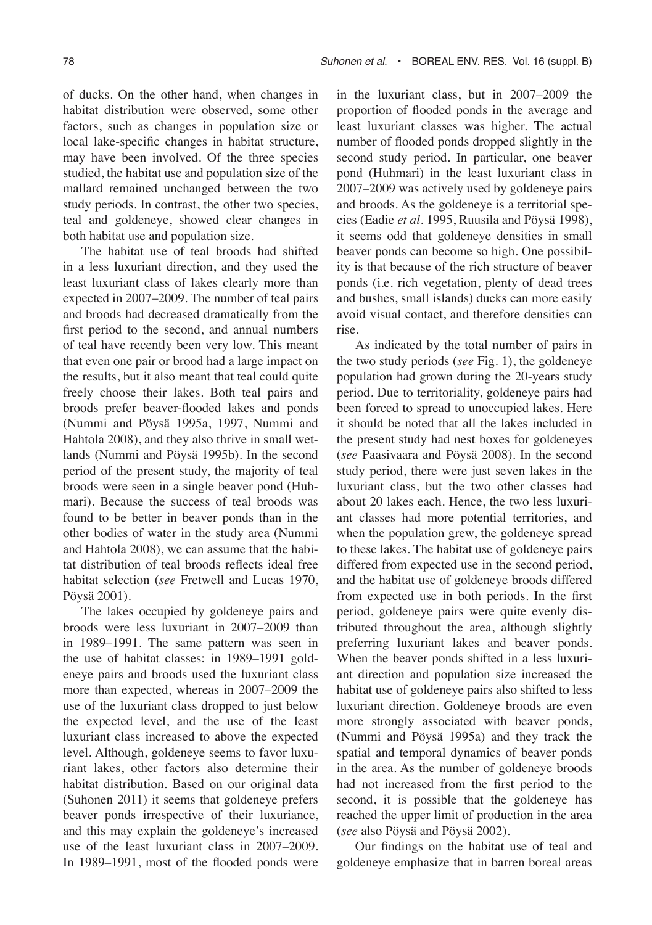of ducks. On the other hand, when changes in habitat distribution were observed, some other factors, such as changes in population size or local lake-specific changes in habitat structure, may have been involved. Of the three species studied, the habitat use and population size of the mallard remained unchanged between the two study periods. In contrast, the other two species, teal and goldeneye, showed clear changes in both habitat use and population size.

The habitat use of teal broods had shifted in a less luxuriant direction, and they used the least luxuriant class of lakes clearly more than expected in 2007–2009. The number of teal pairs and broods had decreased dramatically from the first period to the second, and annual numbers of teal have recently been very low. This meant that even one pair or brood had a large impact on the results, but it also meant that teal could quite freely choose their lakes. Both teal pairs and broods prefer beaver-flooded lakes and ponds (Nummi and Pöysä 1995a, 1997, Nummi and Hahtola 2008), and they also thrive in small wetlands (Nummi and Pöysä 1995b). In the second period of the present study, the majority of teal broods were seen in a single beaver pond (Huhmari). Because the success of teal broods was found to be better in beaver ponds than in the other bodies of water in the study area (Nummi and Hahtola 2008), we can assume that the habitat distribution of teal broods reflects ideal free habitat selection (*see* Fretwell and Lucas 1970, Pöysä 2001).

The lakes occupied by goldeneye pairs and broods were less luxuriant in 2007–2009 than in 1989–1991. The same pattern was seen in the use of habitat classes: in 1989–1991 goldeneye pairs and broods used the luxuriant class more than expected, whereas in 2007–2009 the use of the luxuriant class dropped to just below the expected level, and the use of the least luxuriant class increased to above the expected level. Although, goldeneye seems to favor luxuriant lakes, other factors also determine their habitat distribution. Based on our original data (Suhonen 2011) it seems that goldeneye prefers beaver ponds irrespective of their luxuriance, and this may explain the goldeneye's increased use of the least luxuriant class in 2007–2009. In 1989–1991, most of the flooded ponds were

in the luxuriant class, but in 2007–2009 the proportion of flooded ponds in the average and least luxuriant classes was higher. The actual number of flooded ponds dropped slightly in the second study period. In particular, one beaver pond (Huhmari) in the least luxuriant class in 2007–2009 was actively used by goldeneye pairs and broods. As the goldeneye is a territorial species (Eadie *et al*. 1995, Ruusila and Pöysä 1998), it seems odd that goldeneye densities in small beaver ponds can become so high. One possibility is that because of the rich structure of beaver ponds (i.e. rich vegetation, plenty of dead trees and bushes, small islands) ducks can more easily avoid visual contact, and therefore densities can rise.

As indicated by the total number of pairs in the two study periods (*see* Fig. 1), the goldeneye population had grown during the 20-years study period. Due to territoriality, goldeneye pairs had been forced to spread to unoccupied lakes. Here it should be noted that all the lakes included in the present study had nest boxes for goldeneyes (*see* Paasivaara and Pöysä 2008). In the second study period, there were just seven lakes in the luxuriant class, but the two other classes had about 20 lakes each. Hence, the two less luxuriant classes had more potential territories, and when the population grew, the goldeneye spread to these lakes. The habitat use of goldeneye pairs differed from expected use in the second period, and the habitat use of goldeneye broods differed from expected use in both periods. In the first period, goldeneye pairs were quite evenly distributed throughout the area, although slightly preferring luxuriant lakes and beaver ponds. When the beaver ponds shifted in a less luxuriant direction and population size increased the habitat use of goldeneye pairs also shifted to less luxuriant direction. Goldeneye broods are even more strongly associated with beaver ponds, (Nummi and Pöysä 1995a) and they track the spatial and temporal dynamics of beaver ponds in the area. As the number of goldeneye broods had not increased from the first period to the second, it is possible that the goldeneye has reached the upper limit of production in the area (*see* also Pöysä and Pöysä 2002).

Our findings on the habitat use of teal and goldeneye emphasize that in barren boreal areas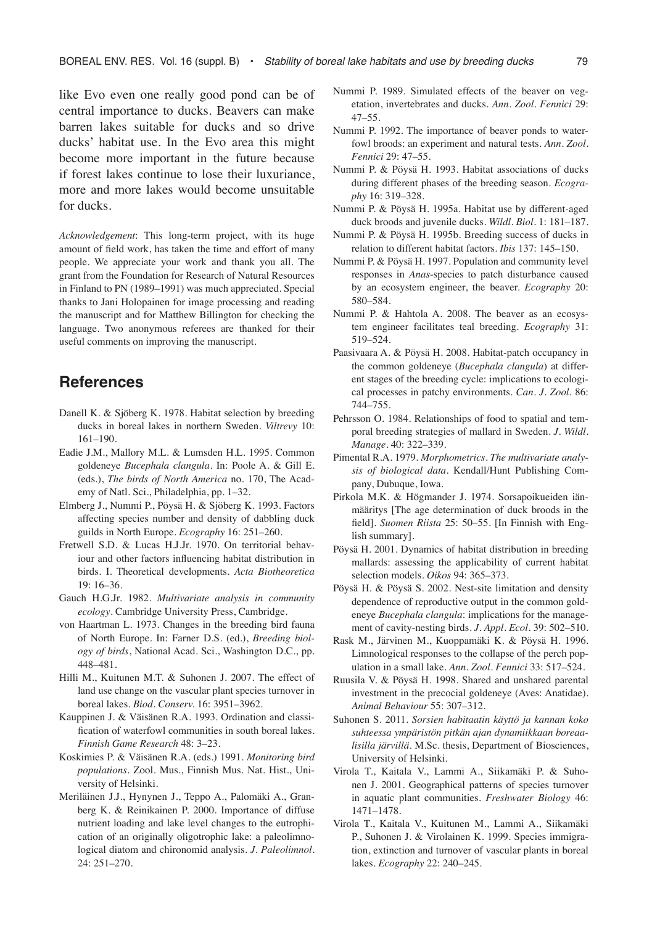like Evo even one really good pond can be of central importance to ducks. Beavers can make barren lakes suitable for ducks and so drive ducks' habitat use. In the Evo area this might become more important in the future because if forest lakes continue to lose their luxuriance, more and more lakes would become unsuitable for ducks.

*Acknowledgement*: This long-term project, with its huge amount of field work, has taken the time and effort of many people. We appreciate your work and thank you all. The grant from the Foundation for Research of Natural Resources in Finland to PN (1989–1991) was much appreciated. Special thanks to Jani Holopainen for image processing and reading the manuscript and for Matthew Billington for checking the language. Two anonymous referees are thanked for their useful comments on improving the manuscript.

# **References**

- Danell K. & Sjöberg K. 1978. Habitat selection by breeding ducks in boreal lakes in northern Sweden. *Viltrevy* 10: 161–190.
- Eadie J.M., Mallory M.L. & Lumsden H.L. 1995. Common goldeneye *Bucephala clangula*. In: Poole A. & Gill E. (eds.), *The birds of North America* no. 170, The Academy of Natl. Sci., Philadelphia, pp. 1–32.
- Elmberg J., Nummi P., Pöysä H. & Sjöberg K. 1993. Factors affecting species number and density of dabbling duck guilds in North Europe. *Ecography* 16: 251–260.
- Fretwell S.D. & Lucas H.J.Jr. 1970. On territorial behaviour and other factors influencing habitat distribution in birds. I. Theoretical developments. *Acta Biotheoretica* 19: 16–36.
- Gauch H.G.Jr. 1982. *Multivariate analysis in community ecology*. Cambridge University Press, Cambridge.
- von Haartman L. 1973. Changes in the breeding bird fauna of North Europe. In: Farner D.S. (ed.), *Breeding biology of birds*, National Acad. Sci., Washington D.C., pp. 448–481.
- Hilli M., Kuitunen M.T. & Suhonen J. 2007. The effect of land use change on the vascular plant species turnover in boreal lakes. *Biod. Conserv.* 16: 3951–3962.
- Kauppinen J. & Väisänen R.A. 1993. Ordination and classification of waterfowl communities in south boreal lakes. *Finnish Game Research* 48: 3–23.
- Koskimies P. & Väisänen R.A. (eds.) 1991. *Monitoring bird populations*. Zool. Mus., Finnish Mus. Nat. Hist., University of Helsinki.
- Meriläinen J.J., Hynynen J., Teppo A., Palomäki A., Granberg K. & Reinikainen P. 2000. Importance of diffuse nutrient loading and lake level changes to the eutrophication of an originally oligotrophic lake: a paleolimnological diatom and chironomid analysis. *J. Paleolimnol.* 24: 251–270.
- Nummi P. 1989. Simulated effects of the beaver on vegetation, invertebrates and ducks. *Ann. Zool. Fennici* 29: 47–55.
- Nummi P. 1992. The importance of beaver ponds to waterfowl broods: an experiment and natural tests. *Ann. Zool. Fennici* 29: 47–55.
- Nummi P. & Pöysä H. 1993. Habitat associations of ducks during different phases of the breeding season. *Ecography* 16: 319–328.
- Nummi P. & Pöysä H. 1995a. Habitat use by different-aged duck broods and juvenile ducks. *Wildl. Biol*. 1: 181–187.
- Nummi P. & Pöysä H. 1995b. Breeding success of ducks in relation to different habitat factors. *Ibis* 137: 145–150.
- Nummi P. & Pöysä H. 1997. Population and community level responses in *Anas*-species to patch disturbance caused by an ecosystem engineer, the beaver. *Ecography* 20: 580–584.
- Nummi P. & Hahtola A. 2008. The beaver as an ecosystem engineer facilitates teal breeding. *Ecography* 31: 519–524.
- Paasivaara A. & Pöysä H. 2008. Habitat-patch occupancy in the common goldeneye (*Bucephala clangula*) at different stages of the breeding cycle: implications to ecological processes in patchy environments. *Can. J. Zool.* 86: 744–755.
- Pehrsson O. 1984. Relationships of food to spatial and temporal breeding strategies of mallard in Sweden. *J. Wildl. Manage.* 40: 322–339.
- Pimental R.A. 1979. *Morphometrics. The multivariate analysis of biological data*. Kendall/Hunt Publishing Company, Dubuque, Iowa.
- Pirkola M.K. & Högmander J. 1974. Sorsapoikueiden iänmääritys [The age determination of duck broods in the field]. *Suomen Riista* 25: 50–55. [In Finnish with English summary].
- Pöysä H. 2001. Dynamics of habitat distribution in breeding mallards: assessing the applicability of current habitat selection models. *Oikos* 94: 365–373.
- Pöysä H. & Pöysä S. 2002. Nest-site limitation and density dependence of reproductive output in the common goldeneye *Bucephala clangula*: implications for the management of cavity-nesting birds. *J. Appl. Ecol.* 39: 502–510.
- Rask M., Järvinen M., Kuoppamäki K. & Pöysä H. 1996. Limnological responses to the collapse of the perch population in a small lake. *Ann. Zool. Fennici* 33: 517–524.
- Ruusila V. & Pöysä H. 1998. Shared and unshared parental investment in the precocial goldeneye (Aves: Anatidae). *Animal Behaviour* 55: 307–312.
- Suhonen S. 2011. *Sorsien habitaatin käyttö ja kannan koko suhteessa ympäristön pitkän ajan dynamiikkaan boreaalisilla järvillä*. M.Sc. thesis, Department of Biosciences, University of Helsinki.
- Virola T., Kaitala V., Lammi A., Siikamäki P. & Suhonen J. 2001. Geographical patterns of species turnover in aquatic plant communities. *Freshwater Biology* 46: 1471–1478.
- Virola T., Kaitala V., Kuitunen M., Lammi A., Siikamäki P., Suhonen J. & Virolainen K. 1999. Species immigration, extinction and turnover of vascular plants in boreal lakes. *Ecography* 22: 240–245.